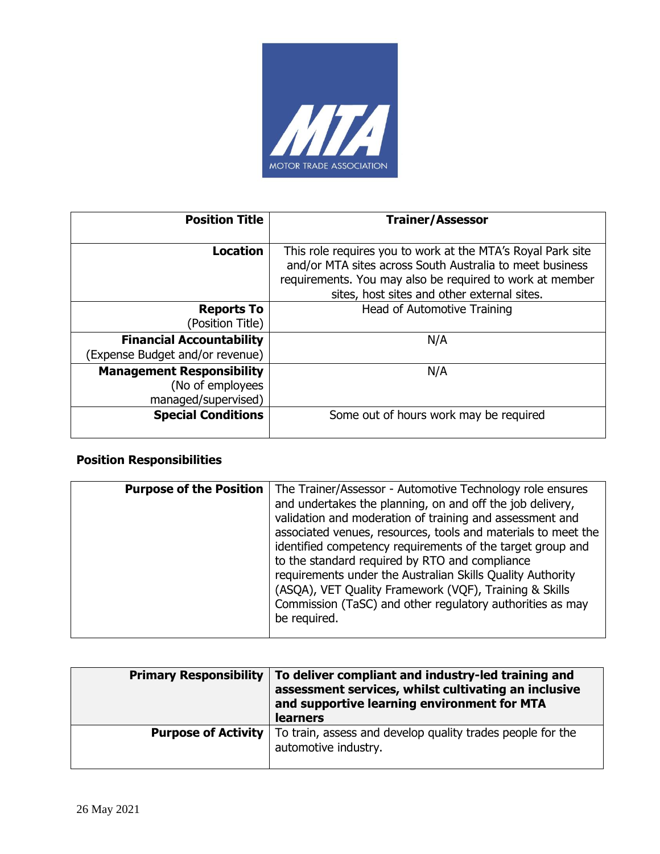

| <b>Position Title</b>                                                       | <b>Trainer/Assessor</b>                                                                                                                                                                                                            |
|-----------------------------------------------------------------------------|------------------------------------------------------------------------------------------------------------------------------------------------------------------------------------------------------------------------------------|
| <b>Location</b>                                                             | This role requires you to work at the MTA's Royal Park site<br>and/or MTA sites across South Australia to meet business<br>requirements. You may also be required to work at member<br>sites, host sites and other external sites. |
| <b>Reports To</b><br>(Position Title)                                       | Head of Automotive Training                                                                                                                                                                                                        |
| <b>Financial Accountability</b><br>(Expense Budget and/or revenue)          | N/A                                                                                                                                                                                                                                |
| <b>Management Responsibility</b><br>(No of employees<br>managed/supervised) | N/A                                                                                                                                                                                                                                |
| <b>Special Conditions</b>                                                   | Some out of hours work may be required                                                                                                                                                                                             |

## **Position Responsibilities**

| <b>Purpose of the Position</b> | The Trainer/Assessor - Automotive Technology role ensures     |
|--------------------------------|---------------------------------------------------------------|
|                                | and undertakes the planning, on and off the job delivery,     |
|                                |                                                               |
|                                | validation and moderation of training and assessment and      |
|                                | associated venues, resources, tools and materials to meet the |
|                                | identified competency requirements of the target group and    |
|                                | to the standard required by RTO and compliance                |
|                                | requirements under the Australian Skills Quality Authority    |
|                                | (ASQA), VET Quality Framework (VQF), Training & Skills        |
|                                | Commission (TaSC) and other regulatory authorities as may     |
|                                | be required.                                                  |
|                                |                                                               |

| <b>Primary Responsibility</b> | To deliver compliant and industry-led training and<br>assessment services, whilst cultivating an inclusive<br>and supportive learning environment for MTA<br><b>learners</b> |
|-------------------------------|------------------------------------------------------------------------------------------------------------------------------------------------------------------------------|
| <b>Purpose of Activity</b>    | To train, assess and develop quality trades people for the<br>automotive industry.                                                                                           |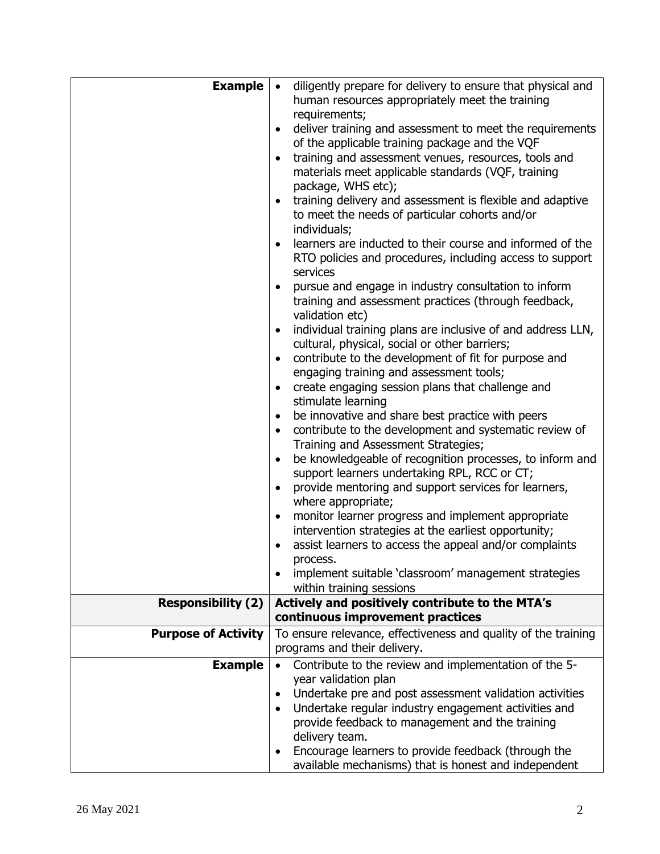| <b>Example</b>             | diligently prepare for delivery to ensure that physical and<br>$\bullet$                       |  |
|----------------------------|------------------------------------------------------------------------------------------------|--|
|                            | human resources appropriately meet the training                                                |  |
|                            | requirements;                                                                                  |  |
|                            | deliver training and assessment to meet the requirements                                       |  |
|                            | of the applicable training package and the VQF                                                 |  |
|                            | training and assessment venues, resources, tools and<br>$\bullet$                              |  |
|                            | materials meet applicable standards (VQF, training                                             |  |
|                            | package, WHS etc);                                                                             |  |
|                            | training delivery and assessment is flexible and adaptive                                      |  |
|                            | to meet the needs of particular cohorts and/or                                                 |  |
|                            | individuals;                                                                                   |  |
|                            | learners are inducted to their course and informed of the                                      |  |
|                            | RTO policies and procedures, including access to support                                       |  |
|                            | services                                                                                       |  |
|                            | pursue and engage in industry consultation to inform                                           |  |
|                            | training and assessment practices (through feedback,                                           |  |
|                            | validation etc)<br>individual training plans are inclusive of and address LLN,                 |  |
|                            | cultural, physical, social or other barriers;                                                  |  |
|                            | contribute to the development of fit for purpose and<br>$\bullet$                              |  |
|                            | engaging training and assessment tools;                                                        |  |
|                            | create engaging session plans that challenge and                                               |  |
|                            | stimulate learning                                                                             |  |
|                            | be innovative and share best practice with peers                                               |  |
|                            | contribute to the development and systematic review of                                         |  |
|                            | Training and Assessment Strategies;                                                            |  |
|                            | be knowledgeable of recognition processes, to inform and                                       |  |
|                            | support learners undertaking RPL, RCC or CT;                                                   |  |
|                            | provide mentoring and support services for learners,                                           |  |
|                            | where appropriate;                                                                             |  |
|                            | monitor learner progress and implement appropriate                                             |  |
|                            | intervention strategies at the earliest opportunity;                                           |  |
|                            | assist learners to access the appeal and/or complaints                                         |  |
|                            | process.                                                                                       |  |
|                            | implement suitable 'classroom' management strategies                                           |  |
|                            | within training sessions                                                                       |  |
| <b>Responsibility (2)</b>  | Actively and positively contribute to the MTA's                                                |  |
|                            | continuous improvement practices                                                               |  |
| <b>Purpose of Activity</b> | To ensure relevance, effectiveness and quality of the training<br>programs and their delivery. |  |
|                            |                                                                                                |  |
| <b>Example</b>             | Contribute to the review and implementation of the 5-<br>year validation plan                  |  |
|                            | Undertake pre and post assessment validation activities<br>$\bullet$                           |  |
|                            | Undertake regular industry engagement activities and                                           |  |
|                            | provide feedback to management and the training                                                |  |
|                            | delivery team.                                                                                 |  |
|                            | Encourage learners to provide feedback (through the                                            |  |
|                            | available mechanisms) that is honest and independent                                           |  |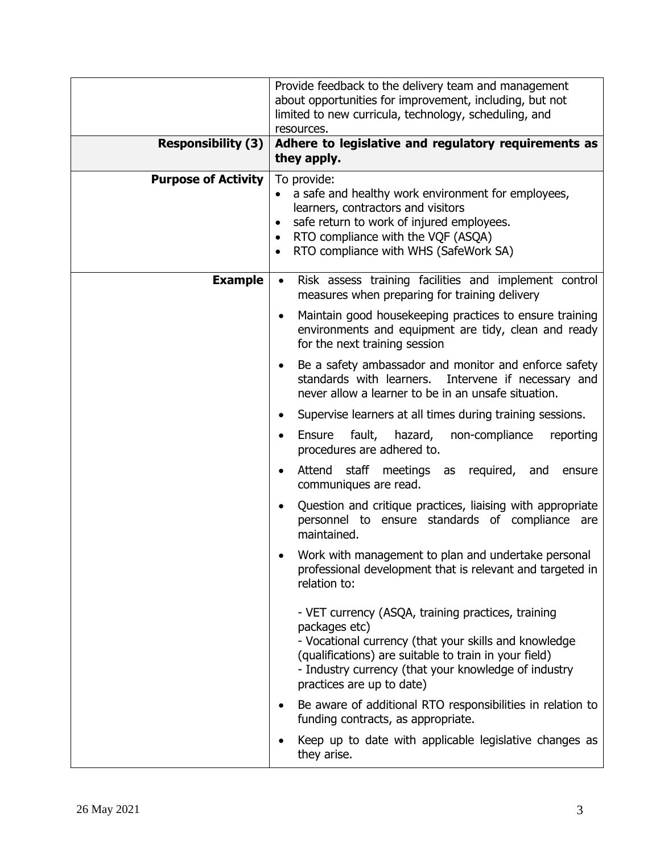| <b>Responsibility (3)</b>  | Provide feedback to the delivery team and management<br>about opportunities for improvement, including, but not<br>limited to new curricula, technology, scheduling, and<br>resources.<br>Adhere to legislative and regulatory requirements as                             |
|----------------------------|----------------------------------------------------------------------------------------------------------------------------------------------------------------------------------------------------------------------------------------------------------------------------|
|                            | they apply.                                                                                                                                                                                                                                                                |
| <b>Purpose of Activity</b> | To provide:<br>a safe and healthy work environment for employees,<br>learners, contractors and visitors<br>safe return to work of injured employees.<br>RTO compliance with the VQF (ASQA)<br>RTO compliance with WHS (SafeWork SA)                                        |
| <b>Example</b>             | Risk assess training facilities and implement control<br>$\bullet$<br>measures when preparing for training delivery                                                                                                                                                        |
|                            | Maintain good housekeeping practices to ensure training<br>٠<br>environments and equipment are tidy, clean and ready<br>for the next training session                                                                                                                      |
|                            | Be a safety ambassador and monitor and enforce safety<br>٠<br>standards with learners. Intervene if necessary and<br>never allow a learner to be in an unsafe situation.                                                                                                   |
|                            | Supervise learners at all times during training sessions.<br>٠                                                                                                                                                                                                             |
|                            | fault, hazard, non-compliance<br>Ensure<br>reporting<br>$\bullet$<br>procedures are adhered to.                                                                                                                                                                            |
|                            | Attend staff meetings as<br>required, and<br>ensure<br>communiques are read.                                                                                                                                                                                               |
|                            | Question and critique practices, liaising with appropriate<br>$\bullet$<br>personnel to ensure standards of compliance are<br>maintained.                                                                                                                                  |
|                            | Work with management to plan and undertake personal<br>professional development that is relevant and targeted in<br>relation to:                                                                                                                                           |
|                            | - VET currency (ASQA, training practices, training<br>packages etc)<br>- Vocational currency (that your skills and knowledge<br>(qualifications) are suitable to train in your field)<br>- Industry currency (that your knowledge of industry<br>practices are up to date) |
|                            | Be aware of additional RTO responsibilities in relation to<br>٠<br>funding contracts, as appropriate.                                                                                                                                                                      |
|                            | Keep up to date with applicable legislative changes as<br>they arise.                                                                                                                                                                                                      |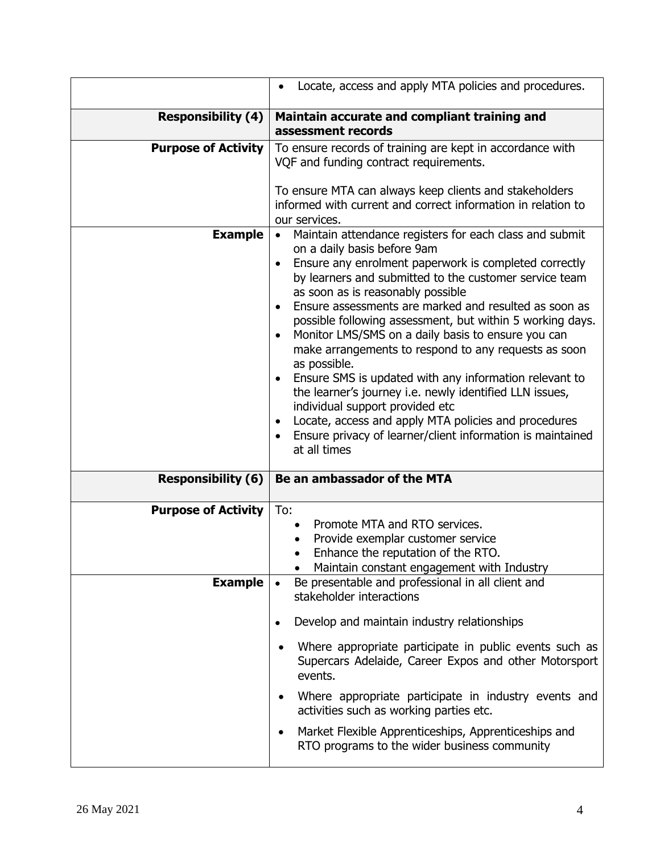|                            | Locate, access and apply MTA policies and procedures.<br>٠                                                                                                                                                                                                                                                                                                                                                                                                                                                                                                                                                                                                                                                                                                                                                                                           |
|----------------------------|------------------------------------------------------------------------------------------------------------------------------------------------------------------------------------------------------------------------------------------------------------------------------------------------------------------------------------------------------------------------------------------------------------------------------------------------------------------------------------------------------------------------------------------------------------------------------------------------------------------------------------------------------------------------------------------------------------------------------------------------------------------------------------------------------------------------------------------------------|
| <b>Responsibility (4)</b>  | Maintain accurate and compliant training and<br>assessment records                                                                                                                                                                                                                                                                                                                                                                                                                                                                                                                                                                                                                                                                                                                                                                                   |
| <b>Purpose of Activity</b> | To ensure records of training are kept in accordance with<br>VQF and funding contract requirements.<br>To ensure MTA can always keep clients and stakeholders<br>informed with current and correct information in relation to<br>our services.                                                                                                                                                                                                                                                                                                                                                                                                                                                                                                                                                                                                       |
| <b>Example</b>             | Maintain attendance registers for each class and submit<br>$\bullet$<br>on a daily basis before 9am<br>Ensure any enrolment paperwork is completed correctly<br>by learners and submitted to the customer service team<br>as soon as is reasonably possible<br>Ensure assessments are marked and resulted as soon as<br>possible following assessment, but within 5 working days.<br>Monitor LMS/SMS on a daily basis to ensure you can<br>$\bullet$<br>make arrangements to respond to any requests as soon<br>as possible.<br>Ensure SMS is updated with any information relevant to<br>the learner's journey i.e. newly identified LLN issues,<br>individual support provided etc<br>Locate, access and apply MTA policies and procedures<br>$\bullet$<br>Ensure privacy of learner/client information is maintained<br>$\bullet$<br>at all times |
| <b>Responsibility (6)</b>  | Be an ambassador of the MTA                                                                                                                                                                                                                                                                                                                                                                                                                                                                                                                                                                                                                                                                                                                                                                                                                          |
| <b>Purpose of Activity</b> | To:<br>Promote MTA and RTO services.<br>$\bullet$<br>Provide exemplar customer service<br>Enhance the reputation of the RTO.<br>Maintain constant engagement with Industry                                                                                                                                                                                                                                                                                                                                                                                                                                                                                                                                                                                                                                                                           |
| <b>Example</b>             | Be presentable and professional in all client and<br>stakeholder interactions                                                                                                                                                                                                                                                                                                                                                                                                                                                                                                                                                                                                                                                                                                                                                                        |
|                            | Develop and maintain industry relationships<br>$\bullet$<br>Where appropriate participate in public events such as<br>٠<br>Supercars Adelaide, Career Expos and other Motorsport<br>events.<br>Where appropriate participate in industry events and<br>$\bullet$<br>activities such as working parties etc.<br>Market Flexible Apprenticeships, Apprenticeships and<br>$\bullet$<br>RTO programs to the wider business community                                                                                                                                                                                                                                                                                                                                                                                                                     |
|                            |                                                                                                                                                                                                                                                                                                                                                                                                                                                                                                                                                                                                                                                                                                                                                                                                                                                      |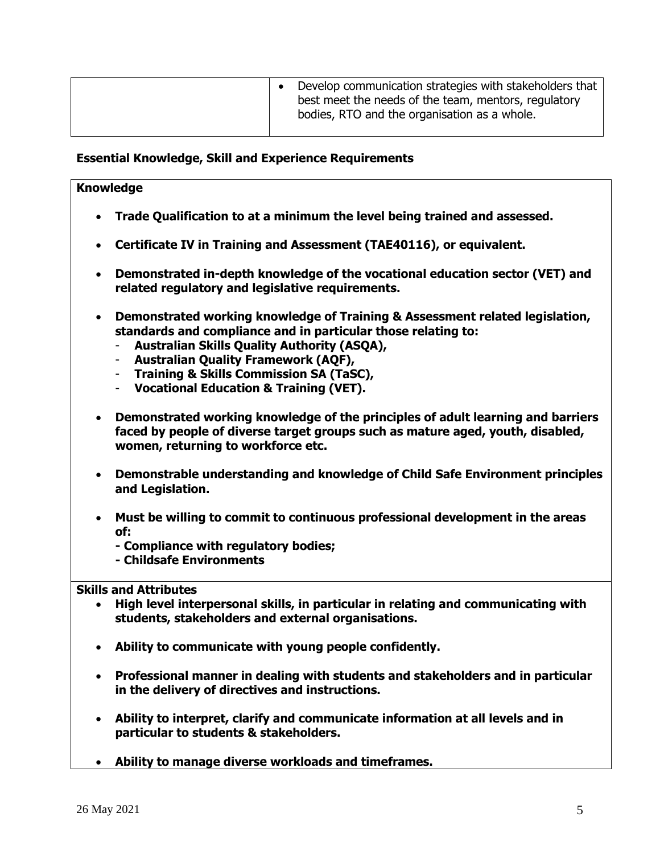| Develop communication strategies with stakeholders that<br>best meet the needs of the team, mentors, regulatory<br>bodies, RTO and the organisation as a whole. |
|-----------------------------------------------------------------------------------------------------------------------------------------------------------------|
|-----------------------------------------------------------------------------------------------------------------------------------------------------------------|

### **Essential Knowledge, Skill and Experience Requirements**

#### **Knowledge**

- **Trade Qualification to at a minimum the level being trained and assessed.**
- **Certificate IV in Training and Assessment (TAE40116), or equivalent.**
- **Demonstrated in-depth knowledge of the vocational education sector (VET) and related regulatory and legislative requirements.**
- **Demonstrated working knowledge of Training & Assessment related legislation, standards and compliance and in particular those relating to:**
	- **Australian Skills Quality Authority (ASQA),**
	- **Australian Quality Framework (AQF),**
	- **Training & Skills Commission SA (TaSC),**
	- **Vocational Education & Training (VET).**
- **Demonstrated working knowledge of the principles of adult learning and barriers faced by people of diverse target groups such as mature aged, youth, disabled, women, returning to workforce etc.**
- **Demonstrable understanding and knowledge of Child Safe Environment principles and Legislation.**
- **Must be willing to commit to continuous professional development in the areas of:**
	- **- Compliance with regulatory bodies;**
	- **- Childsafe Environments**

#### **Skills and Attributes**

- **High level interpersonal skills, in particular in relating and communicating with students, stakeholders and external organisations.**
- **Ability to communicate with young people confidently.**
- **Professional manner in dealing with students and stakeholders and in particular in the delivery of directives and instructions.**
- **Ability to interpret, clarify and communicate information at all levels and in particular to students & stakeholders.**
- **Ability to manage diverse workloads and timeframes.**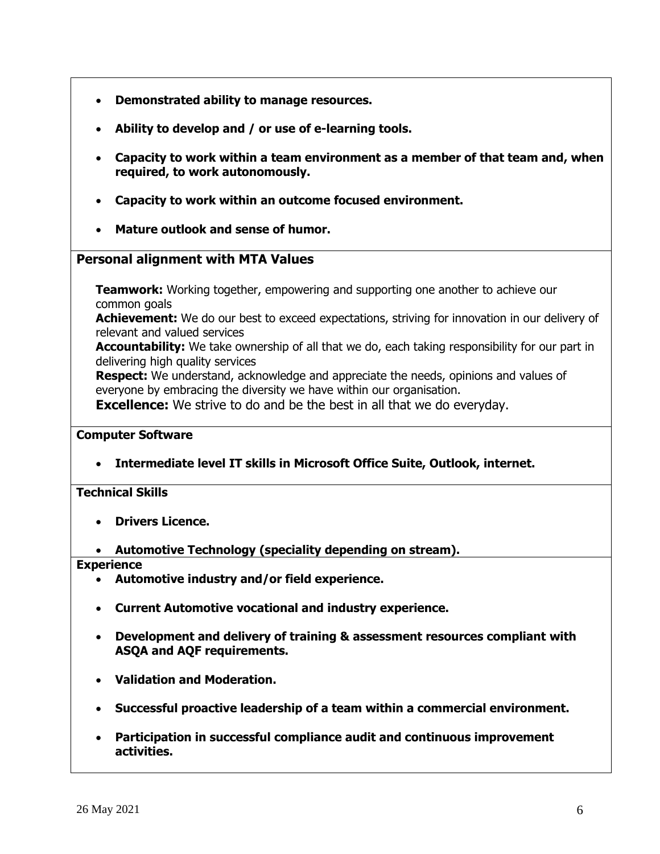- **Demonstrated ability to manage resources.**
- **Ability to develop and / or use of e-learning tools.**
- **Capacity to work within a team environment as a member of that team and, when required, to work autonomously.**
- **Capacity to work within an outcome focused environment.**
- **Mature outlook and sense of humor.**

## **Personal alignment with MTA Values**

**Teamwork:** Working together, empowering and supporting one another to achieve our common goals

**Achievement:** We do our best to exceed expectations, striving for innovation in our delivery of relevant and valued services

**Accountability:** We take ownership of all that we do, each taking responsibility for our part in delivering high quality services

**Respect:** We understand, acknowledge and appreciate the needs, opinions and values of everyone by embracing the diversity we have within our organisation.

**Excellence:** We strive to do and be the best in all that we do everyday.

#### **Computer Software**

• **Intermediate level IT skills in Microsoft Office Suite, Outlook, internet.**

## **Technical Skills**

- **Drivers Licence.**
- **Automotive Technology (speciality depending on stream).**

**Experience**

- **Automotive industry and/or field experience.**
- **Current Automotive vocational and industry experience.**
- **Development and delivery of training & assessment resources compliant with ASQA and AQF requirements.**
- **Validation and Moderation.**
- **Successful proactive leadership of a team within a commercial environment.**
- **Participation in successful compliance audit and continuous improvement activities.**